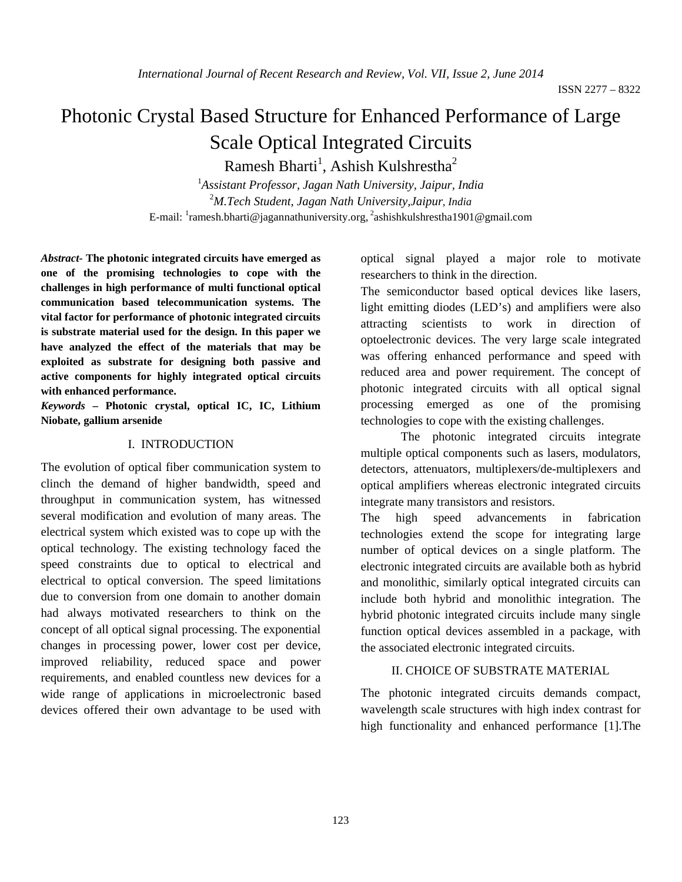# Photonic Crystal Based Structure for Enhanced Performance of Large Scale Optical Integrated Circuits

Ramesh Bharti<sup>1</sup>, Ashish Kulshrestha<sup>2</sup>

1 *Assistant Professor, Jagan Nath University, Jaipur, India* 2 *M.Tech Student, Jagan Nath University,Jaipur, India* E-mail: <sup>1</sup>ramesh.bharti@jagannathuniversity.org, <sup>2</sup>ashishkulshrestha1901@gmail.com

*Abstract-* **The photonic integrated circuits have emerged as one of the promising technologies to cope with the challenges in high performance of multi functional optical communication based telecommunication systems. The vital factor for performance of photonic integrated circuits is substrate material used for the design. In this paper we have analyzed the effect of the materials that may be exploited as substrate for designing both passive and active components for highly integrated optical circuits with enhanced performance.**

*Keywords* **– Photonic crystal, optical IC, IC, Lithium Niobate, gallium arsenide**

#### I. INTRODUCTION

The evolution of optical fiber communication system to clinch the demand of higher bandwidth, speed and throughput in communication system, has witnessed several modification and evolution of many areas. The electrical system which existed was to cope up with the optical technology. The existing technology faced the speed constraints due to optical to electrical and electrical to optical conversion. The speed limitations due to conversion from one domain to another domain had always motivated researchers to think on the concept of all optical signal processing. The exponential changes in processing power, lower cost per device, improved reliability, reduced space and power requirements, and enabled countless new devices for a wide range of applications in microelectronic based devices offered their own advantage to be used with

optical signal played a major role to motivate researchers to think in the direction.

The semiconductor based optical devices like lasers, light emitting diodes (LED's) and amplifiers were also attracting scientists to work in direction of optoelectronic devices. The very large scale integrated was offering enhanced performance and speed with reduced area and power requirement. The concept of photonic integrated circuits with all optical signal processing emerged as one of the promising technologies to cope with the existing challenges.

The photonic integrated circuits integrate multiple optical components such as lasers, modulators, detectors, attenuators, multiplexers/de-multiplexers and optical amplifiers whereas electronic integrated circuits integrate many transistors and resistors.

The high speed advancements in fabrication technologies extend the scope for integrating large number of optical devices on a single platform. The electronic integrated circuits are available both as hybrid and monolithic, similarly optical integrated circuits can include both hybrid and monolithic integration. The hybrid photonic integrated circuits include many single function optical devices assembled in a package, with the associated electronic integrated circuits.

## II. CHOICE OF SUBSTRATE MATERIAL

The photonic integrated circuits demands compact, wavelength scale structures with high index contrast for high functionality and enhanced performance [1].The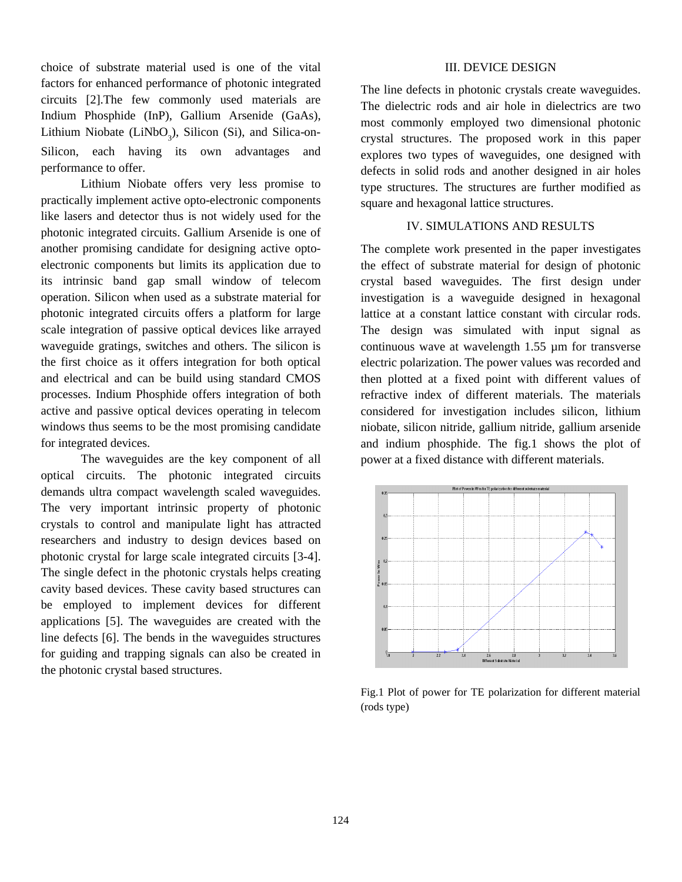choice of substrate material used is one of the vital factors for enhanced performance of photonic integrated circuits [2].The few commonly used materials are Indium Phosphide (InP), Gallium Arsenide (GaAs), Lithium Niobate (LiNbO<sub>3</sub>), Silicon (Si), and Silica-on-Silicon, each having its own advantages and performance to offer.

Lithium Niobate offers very less promise to practically implement active opto-electronic components like lasers and detector thus is not widely used for the photonic integrated circuits. Gallium Arsenide is one of another promising candidate for designing active optoelectronic components but limits its application due to its intrinsic band gap small window of telecom operation. Silicon when used as a substrate material for photonic integrated circuits offers a platform for large scale integration of passive optical devices like arrayed waveguide gratings, switches and others. The silicon is the first choice as it offers integration for both optical and electrical and can be build using standard CMOS processes. Indium Phosphide offers integration of both active and passive optical devices operating in telecom windows thus seems to be the most promising candidate for integrated devices.

The waveguides are the key component of all optical circuits. The photonic integrated circuits demands ultra compact wavelength scaled waveguides. The very important intrinsic property of photonic crystals to control and manipulate light has attracted researchers and industry to design devices based on photonic crystal for large scale integrated circuits [3-4]. The single defect in the photonic crystals helps creating cavity based devices. These cavity based structures can be employed to implement devices for different applications [5]. The waveguides are created with the line defects [6]. The bends in the waveguides structures for guiding and trapping signals can also be created in the photonic crystal based structures.

#### III. DEVICE DESIGN

The line defects in photonic crystals create waveguides. The dielectric rods and air hole in dielectrics are two most commonly employed two dimensional photonic crystal structures. The proposed work in this paper explores two types of waveguides, one designed with defects in solid rods and another designed in air holes type structures. The structures are further modified as square and hexagonal lattice structures.

# IV. SIMULATIONS AND RESULTS

The complete work presented in the paper investigates the effect of substrate material for design of photonic crystal based waveguides. The first design under investigation is a waveguide designed in hexagonal lattice at a constant lattice constant with circular rods. The design was simulated with input signal as continuous wave at wavelength 1.55 µm for transverse electric polarization. The power values was recorded and then plotted at a fixed point with different values of refractive index of different materials. The materials considered for investigation includes silicon, lithium niobate, silicon nitride, gallium nitride, gallium arsenide and indium phosphide. The fig.1 shows the plot of power at a fixed distance with different materials.



Fig.1 Plot of power for TE polarization for different material (rods type)